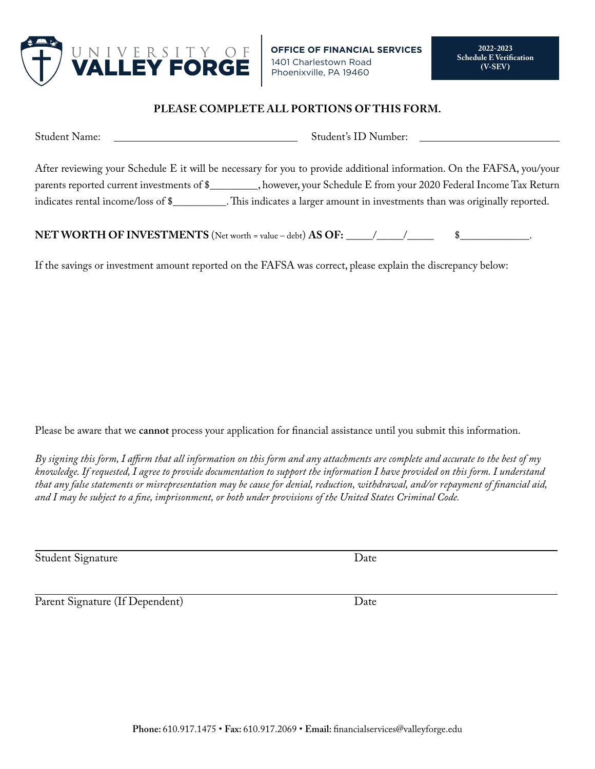

## **PLEASE COMPLETE ALL PORTIONS OF THIS FORM.**

| Student Name:                              | Student's ID Number:                                                                                                   |
|--------------------------------------------|------------------------------------------------------------------------------------------------------------------------|
|                                            | After reviewing your Schedule E it will be necessary for you to provide additional information. On the FAFSA, you/your |
| parents reported current investments of \$ | , however, your Schedule E from your 2020 Federal Income Tax Return                                                    |
| indicates rental income/loss of \$         | . This indicates a larger amount in investments than was originally reported.                                          |

**NET WORTH OF INVESTMENTS** (Net worth = value – debt) **AS OF:** 

If the savings or investment amount reported on the FAFSA was correct, please explain the discrepancy below:

Please be aware that we **cannot** process your application for financial assistance until you submit this information.

*By signing this form, I affirm that all information on this form and any attachments are complete and accurate to the best of my knowledge. If requested, I agree to provide documentation to support the information I have provided on this form. I understand that any false statements or misrepresentation may be cause for denial, reduction, withdrawal, and/or repayment of financial aid, and I may be subject to a fine, imprisonment, or both under provisions of the United States Criminal Code.*

Student Signature

Date

Parent Signature (If Dependent)

Date